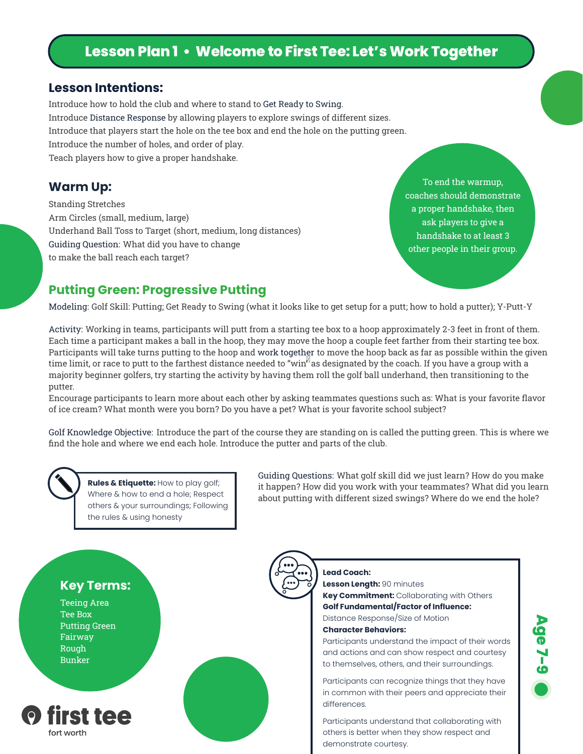# **Lesson Plan 1 • Welcome to First Tee: Let's Work Together**

#### **Lesson Intentions:**

Introduce how to hold the club and where to stand to Get Ready to Swing. Introduce Distance Response by allowing players to explore swings of different sizes. Introduce that players start the hole on the tee box and end the hole on the putting green. Introduce the number of holes, and order of play. Teach players how to give a proper handshake.

Standing Stretches Arm Circles (small, medium, large) Underhand Ball Toss to Target (short, medium, long distances) Guiding Question: What did you have to change to make the ball reach each target?

**Warm Up:** To end the warmup, coaches should demonstrate a proper handshake, then ask players to give a handshake to at least 3 other people in their group.

#### **Putting Green: Progressive Putting**

Modeling: Golf Skill: Putting; Get Ready to Swing (what it looks like to get setup for a putt; how to hold a putter); Y-Putt-Y

Activity: Working in teams, participants will putt from a starting tee box to a hoop approximately 2-3 feet in front of them. Each time a participant makes a ball in the hoop, they may move the hoop a couple feet farther from their starting tee box. Participants will take turns putting to the hoop and work together to move the hoop back as far as possible within the given time limit, or race to putt to the farthest distance needed to "win" as designated by the coach. If you have a group with a majority beginner golfers, try starting the activity by having them roll the golf ball underhand, then transitioning to the putter.

Encourage participants to learn more about each other by asking teammates questions such as: What is your favorite flavor of ice cream? What month were you born? Do you have a pet? What is your favorite school subject?

Golf Knowledge Objective: Introduce the part of the course they are standing on is called the putting green. This is where we find the hole and where we end each hole. Introduce the putter and parts of the club.

**Rules & Etiquette:** How to play golf; Where & how to end a hole; Respect others & your surroundings; Following the rules & using honesty

Guiding Questions: What golf skill did we just learn? How do you make it happen? How did you work with your teammates? What did you learn about putting with different sized swings? Where do we end the hole?